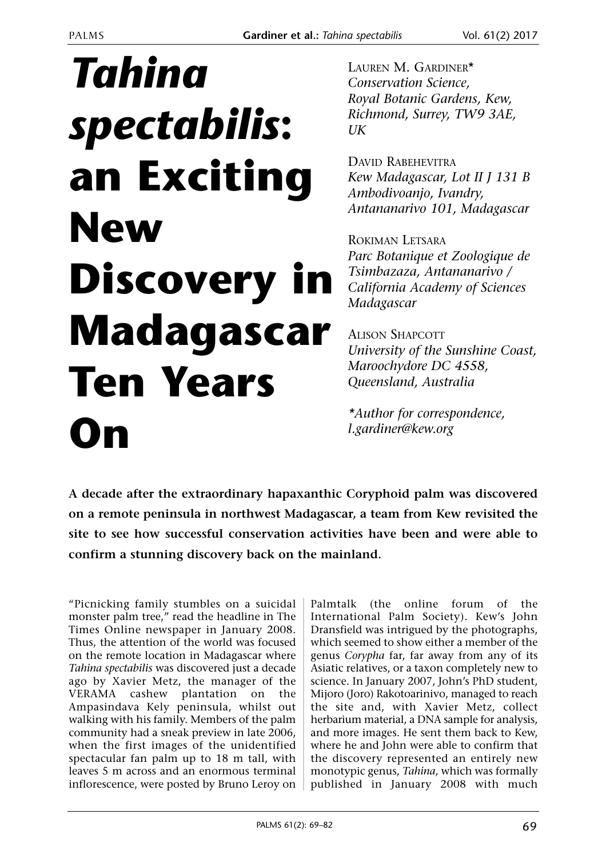# *Tahina spectabilis***: an Exciting New Discovery in Madagascar Ten Years On**

LAUREN M. GARDINER\* *Conservation Science, Royal Botanic Gardens, Kew, Richmond, Surrey, TW9 3AE, UK*

DAVID RABEHEVITRA *Kew Madagascar, Lot II J 131 B Ambodivoanjo, Ivandry, Antananarivo 101, Madagascar*

ROKIMAN LETSARA *Parc Botanique et Zoologique de Tsimbazaza, Antananarivo / California Academy of Sciences Madagascar*

ALISON SHAPCOTT *University of the Sunshine Coast, Maroochydore DC 4558, Queensland, Australia*

*\*Author for correspondence, l.gardiner@kew.org*

**A decade after the extraordinary hapaxanthic Coryphoid palm was discovered on a remote peninsula in northwest Madagascar, a team from Kew revisited the site to see how successful conservation activities have been and were able to confirm a stunning discovery back on the mainland.**

"Picnicking family stumbles on a suicidal monster palm tree," read the headline in The Times Online newspaper in January 2008. Thus, the attention of the world was focused on the remote location in Madagascar where *Tahina spectabilis* was discovered just a decade ago by Xavier Metz, the manager of the VERAMA cashew plantation on the Ampasindava Kely peninsula, whilst out walking with his family. Members of the palm community had a sneak preview in late 2006, when the first images of the unidentified spectacular fan palm up to 18 m tall, with leaves 5 m across and an enormous terminal inflorescence, were posted by Bruno Leroy on

Palmtalk (the online forum of the International Palm Society). Kew's John Dransfield was intrigued by the photographs, which seemed to show either a member of the genus *Corypha* far, far away from any of its Asiatic relatives, or a taxon completely new to science. In January 2007, John's PhD student, Mijoro (Joro) Rakotoarinivo, managed to reach the site and, with Xavier Metz, collect herbarium material, a DNA sample for analysis, and more images. He sent them back to Kew, where he and John were able to confirm that the discovery represented an entirely new monotypic genus, *Tahina*, which was formally published in January 2008 with much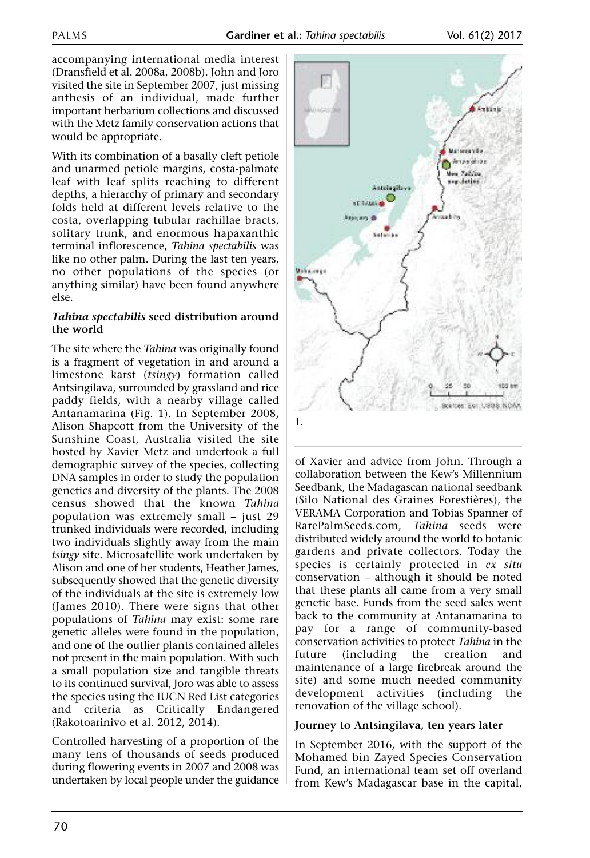accompanying international media interest (Dransfield et al. 2008a, 2008b). John and Joro visited the site in September 2007, just missing anthesis of an individual, made further important herbarium collections and discussed with the Metz family conservation actions that would be appropriate.

With its combination of a basally cleft petiole and unarmed petiole margins, costa-palmate leaf with leaf splits reaching to different depths, a hierarchy of primary and secondary folds held at different levels relative to the costa, overlapping tubular rachillae bracts, solitary trunk, and enormous hapaxanthic terminal inflorescence, *Tahina spectabilis* was like no other palm. During the last ten years, no other populations of the species (or anything similar) have been found anywhere else.

### *Tahina spectabilis* **seed distribution around the world**

The site where the *Tahina* was originally found is a fragment of vegetation in and around a limestone karst (*tsingy*) formation called Antsingilava, surrounded by grassland and rice paddy fields, with a nearby village called Antanamarina (Fig. 1). In September 2008, Alison Shapcott from the University of the Sunshine Coast, Australia visited the site hosted by Xavier Metz and undertook a full demographic survey of the species, collecting DNA samples in order to study the population genetics and diversity of the plants. The 2008 census showed that the known *Tahina* population was extremely small – just 29 trunked individuals were recorded, including two individuals slightly away from the main *tsingy* site. Microsatellite work undertaken by Alison and one of her students, Heather James, subsequently showed that the genetic diversity of the individuals at the site is extremely low (James 2010). There were signs that other populations of *Tahina* may exist: some rare genetic alleles were found in the population, and one of the outlier plants contained alleles not present in the main population. With such a small population size and tangible threats to its continued survival, Joro was able to assess the species using the IUCN Red List categories and criteria as Critically Endangered (Rakotoarinivo et al. 2012, 2014).

Controlled harvesting of a proportion of the many tens of thousands of seeds produced during flowering events in 2007 and 2008 was undertaken by local people under the guidance



of Xavier and advice from John. Through a collaboration between the Kew's Millennium Seedbank, the Madagascan national seedbank (Silo National des Graines Forestières), the VERAMA Corporation and Tobias Spanner of RarePalmSeeds.com, *Tahina* seeds were distributed widely around the world to botanic gardens and private collectors. Today the species is certainly protected in *ex situ* conservation – although it should be noted that these plants all came from a very small genetic base. Funds from the seed sales went back to the community at Antanamarina to pay for a range of community-based conservation activities to protect *Tahina* in the future (including the creation and maintenance of a large firebreak around the site) and some much needed community development activities (including the renovation of the village school).

## **Journey to Antsingilava, ten years later**

In September 2016, with the support of the Mohamed bin Zayed Species Conservation Fund, an international team set off overland from Kew's Madagascar base in the capital,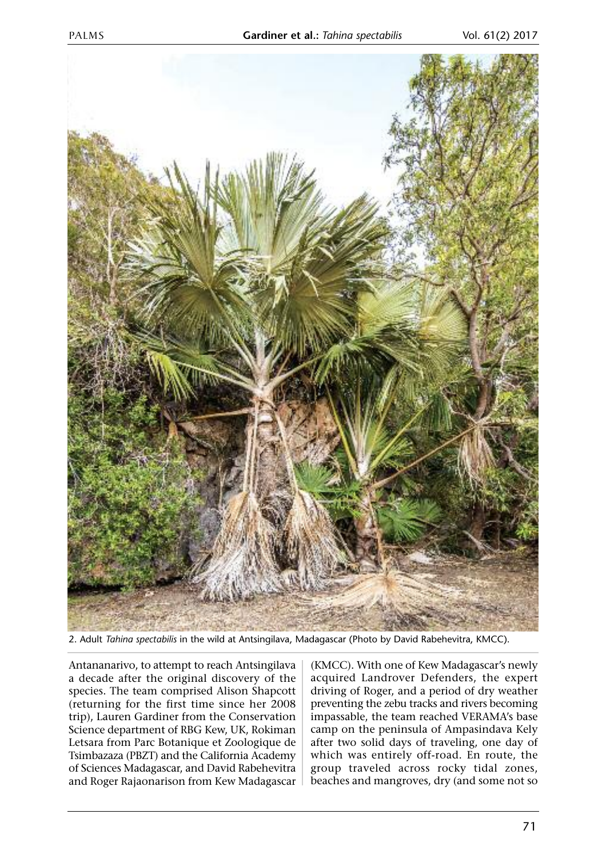

2. Adult *Tahina spectabilis* in the wild at Antsingilava, Madagascar (Photo by David Rabehevitra, KMCC).

Antananarivo, to attempt to reach Antsingilava a decade after the original discovery of the species. The team comprised Alison Shapcott (returning for the first time since her 2008 trip), Lauren Gardiner from the Conservation Science department of RBG Kew, UK, Rokiman Letsara from Parc Botanique et Zoologique de Tsimbazaza (PBZT) and the California Academy of Sciences Madagascar, and David Rabehevitra and Roger Rajaonarison from Kew Madagascar

(KMCC). With one of Kew Madagascar's newly acquired Landrover Defenders, the expert driving of Roger, and a period of dry weather preventing the zebu tracks and rivers becoming impassable, the team reached VERAMA's base camp on the peninsula of Ampasindava Kely after two solid days of traveling, one day of which was entirely off-road. En route, the group traveled across rocky tidal zones, beaches and mangroves, dry (and some not so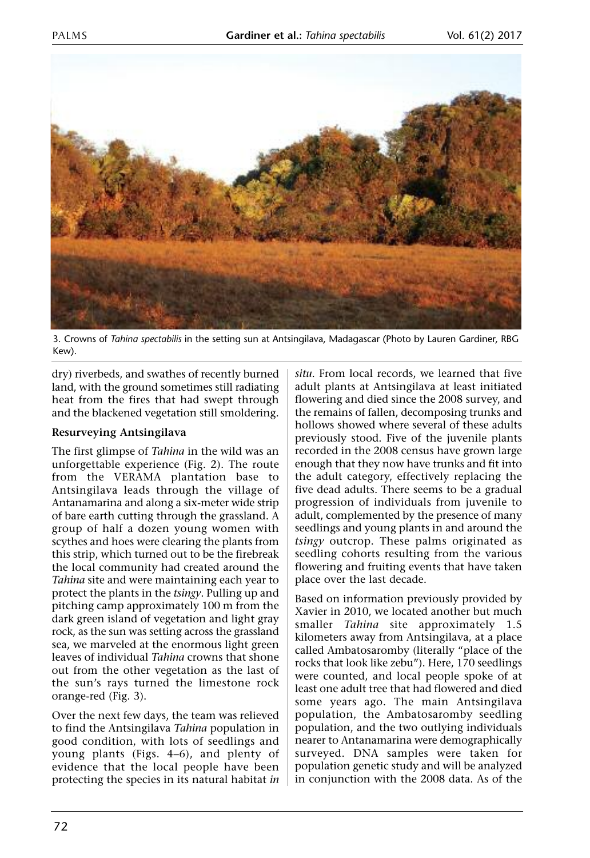

3. Crowns of *Tahina spectabilis* in the setting sun at Antsingilava, Madagascar (Photo by Lauren Gardiner, RBG Kew).

dry) riverbeds, and swathes of recently burned land, with the ground sometimes still radiating heat from the fires that had swept through and the blackened vegetation still smoldering.

#### **Resurveying Antsingilava**

The first glimpse of *Tahina* in the wild was an unforgettable experience (Fig. 2). The route from the VERAMA plantation base to Antsingilava leads through the village of Antanamarina and along a six-meter wide strip of bare earth cutting through the grassland. A group of half a dozen young women with scythes and hoes were clearing the plants from this strip, which turned out to be the firebreak the local community had created around the *Tahina* site and were maintaining each year to protect the plants in the *tsingy*. Pulling up and pitching camp approximately 100 m from the dark green island of vegetation and light gray rock, as the sun was setting across the grassland sea, we marveled at the enormous light green leaves of individual *Tahina* crowns that shone out from the other vegetation as the last of the sun's rays turned the limestone rock orange-red (Fig. 3).

Over the next few days, the team was relieved to find the Antsingilava *Tahina* population in good condition, with lots of seedlings and young plants (Figs. 4–6), and plenty of evidence that the local people have been protecting the species in its natural habitat *in*

*situ*. From local records, we learned that five adult plants at Antsingilava at least initiated flowering and died since the 2008 survey, and the remains of fallen, decomposing trunks and hollows showed where several of these adults previously stood. Five of the juvenile plants recorded in the 2008 census have grown large enough that they now have trunks and fit into the adult category, effectively replacing the five dead adults. There seems to be a gradual progression of individuals from juvenile to adult, complemented by the presence of many seedlings and young plants in and around the *tsingy* outcrop. These palms originated as seedling cohorts resulting from the various flowering and fruiting events that have taken place over the last decade.

Based on information previously provided by Xavier in 2010, we located another but much smaller *Tahina* site approximately 1.5 kilometers away from Antsingilava, at a place called Ambatosaromby (literally "place of the rocks that look like zebu"). Here, 170 seedlings were counted, and local people spoke of at least one adult tree that had flowered and died some years ago. The main Antsingilava population, the Ambatosaromby seedling population, and the two outlying individuals nearer to Antanamarina were demographically surveyed. DNA samples were taken for population genetic study and will be analyzed in conjunction with the 2008 data. As of the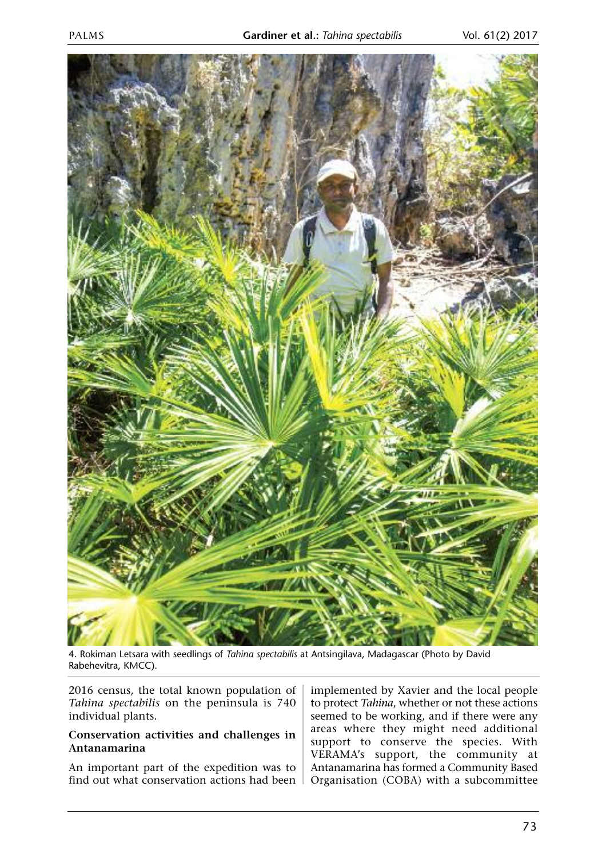

4. Rokiman Letsara with seedlings of *Tahina spectabilis* at Antsingilava, Madagascar (Photo by David Rabehevitra, KMCC).

2016 census, the total known population of *Tahina spectabilis* on the peninsula is 740 individual plants.

#### **Conservation activities and challenges in Antanamarina**

An important part of the expedition was to find out what conservation actions had been

implemented by Xavier and the local people to protect *Tahina*, whether or not these actions seemed to be working, and if there were any areas where they might need additional support to conserve the species. With VERAMA's support, the community at Antanamarina has formed a Community Based Organisation (COBA) with a subcommittee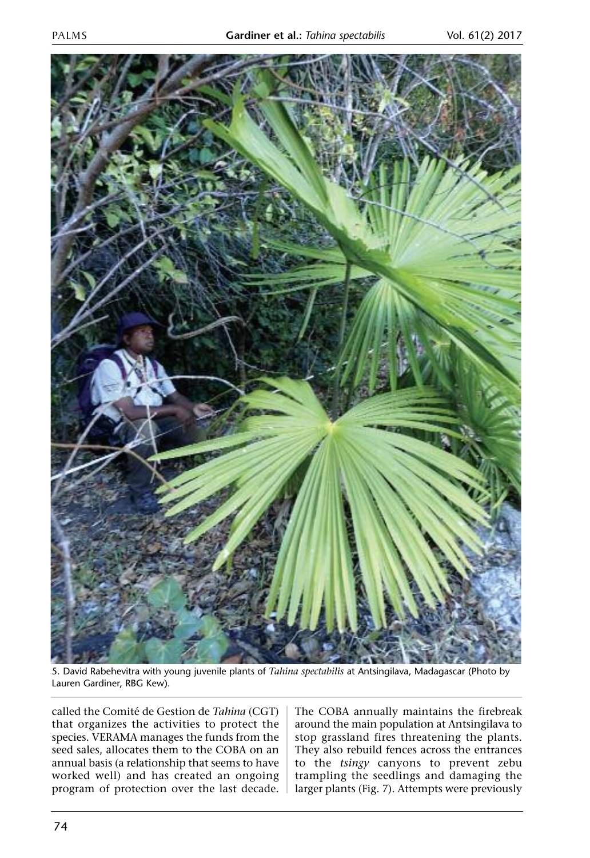

5. David Rabehevitra with young juvenile plants of *Tahina spectabilis* at Antsingilava, Madagascar (Photo by Lauren Gardiner, RBG Kew).

called the Comité de Gestion de *Tahina* (CGT) that organizes the activities to protect the species. VERAMA manages the funds from the seed sales, allocates them to the COBA on an annual basis (a relationship that seems to have worked well) and has created an ongoing program of protection over the last decade. The COBA annually maintains the firebreak around the main population at Antsingilava to stop grassland fires threatening the plants. They also rebuild fences across the entrances to the *tsingy* canyons to prevent zebu trampling the seedlings and damaging the larger plants (Fig. 7). Attempts were previously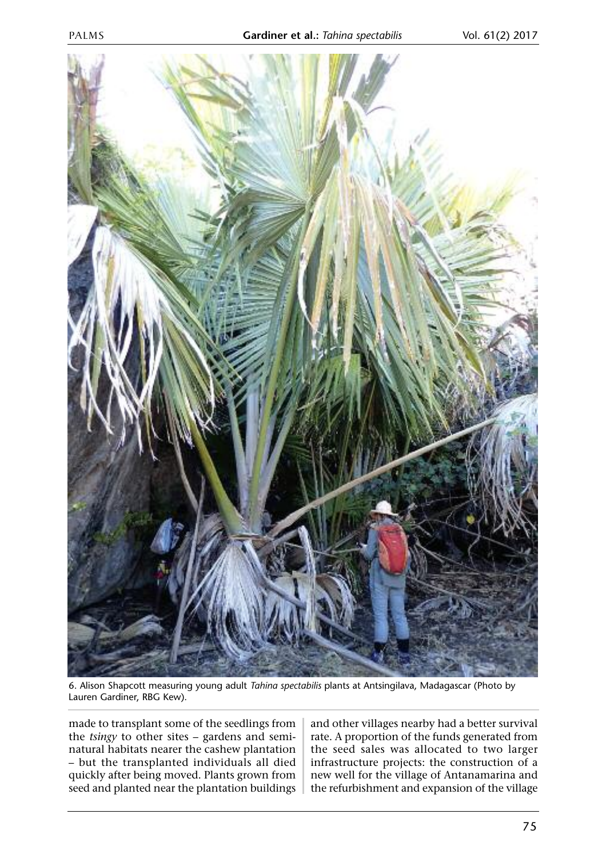

6. Alison Shapcott measuring young adult *Tahina spectabilis* plants at Antsingilava, Madagascar (Photo by Lauren Gardiner, RBG Kew).

made to transplant some of the seedlings from the *tsingy* to other sites – gardens and seminatural habitats nearer the cashew plantation – but the transplanted individuals all died quickly after being moved. Plants grown from seed and planted near the plantation buildings and other villages nearby had a better survival rate. A proportion of the funds generated from the seed sales was allocated to two larger infrastructure projects: the construction of a new well for the village of Antanamarina and the refurbishment and expansion of the village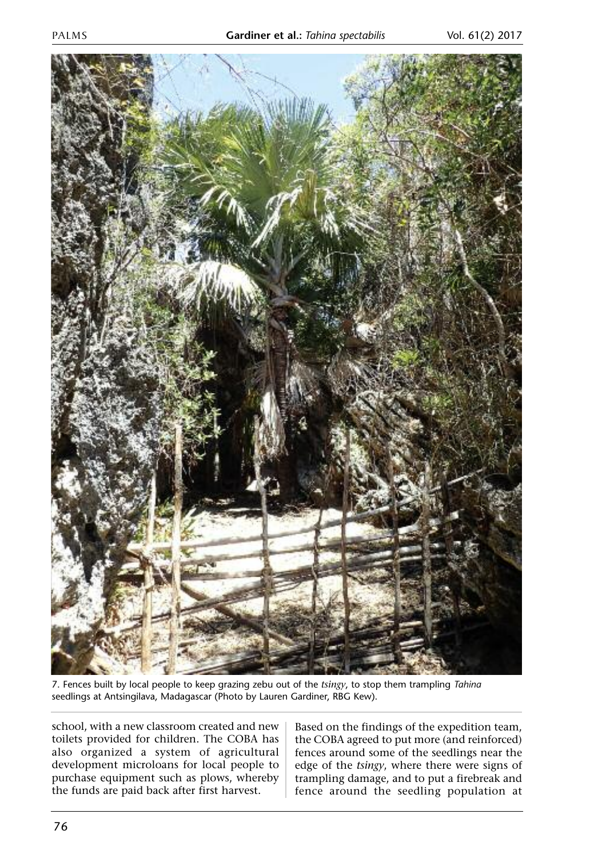

7. Fences built by local people to keep grazing zebu out of the *tsingy*, to stop them trampling *Tahina* seedlings at Antsingilava, Madagascar (Photo by Lauren Gardiner, RBG Kew).

school, with a new classroom created and new toilets provided for children. The COBA has also organized a system of agricultural development microloans for local people to purchase equipment such as plows, whereby the funds are paid back after first harvest.

Based on the findings of the expedition team, the COBA agreed to put more (and reinforced) fences around some of the seedlings near the edge of the *tsingy*, where there were signs of trampling damage, and to put a firebreak and fence around the seedling population at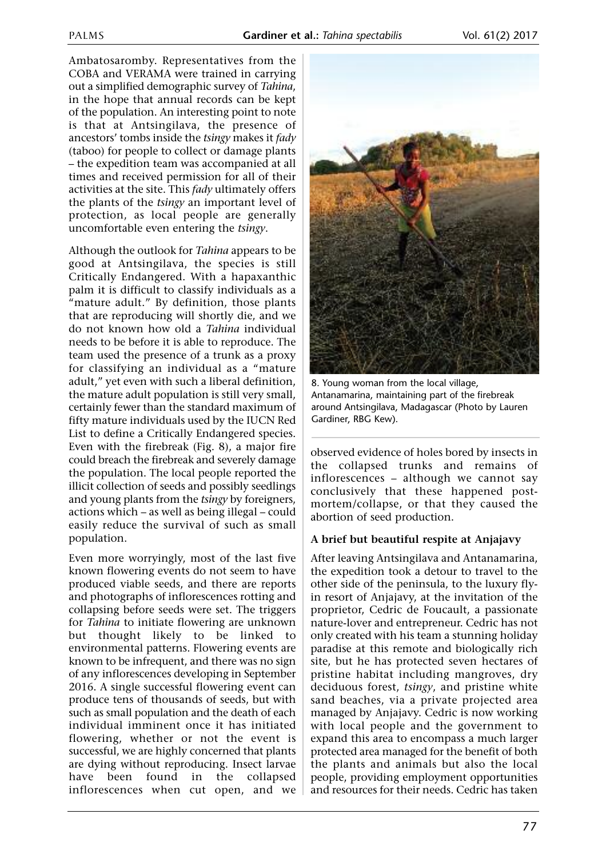Ambatosaromby. Representatives from the COBA and VERAMA were trained in carrying out a simplified demographic survey of *Tahina*, in the hope that annual records can be kept of the population. An interesting point to note is that at Antsingilava, the presence of ancestors' tombs inside the *tsingy* makes it *fady* (taboo) for people to collect or damage plants – the expedition team was accompanied at all times and received permission for all of their activities at the site. This *fady* ultimately offers the plants of the *tsingy* an important level of protection, as local people are generally uncomfortable even entering the *tsingy*.

Although the outlook for *Tahina* appears to be good at Antsingilava, the species is still Critically Endangered. With a hapaxanthic palm it is difficult to classify individuals as a "mature adult." By definition, those plants that are reproducing will shortly die, and we do not known how old a *Tahina* individual needs to be before it is able to reproduce. The team used the presence of a trunk as a proxy for classifying an individual as a "mature adult," yet even with such a liberal definition, the mature adult population is still very small, certainly fewer than the standard maximum of fifty mature individuals used by the IUCN Red List to define a Critically Endangered species. Even with the firebreak (Fig. 8), a major fire could breach the firebreak and severely damage the population. The local people reported the illicit collection of seeds and possibly seedlings and young plants from the *tsingy* by foreigners, actions which – as well as being illegal – could easily reduce the survival of such as small population.

Even more worryingly, most of the last five known flowering events do not seem to have produced viable seeds, and there are reports and photographs of inflorescences rotting and collapsing before seeds were set. The triggers for *Tahina* to initiate flowering are unknown but thought likely to be linked to environmental patterns. Flowering events are known to be infrequent, and there was no sign of any inflorescences developing in September 2016. A single successful flowering event can produce tens of thousands of seeds, but with such as small population and the death of each individual imminent once it has initiated flowering, whether or not the event is successful, we are highly concerned that plants are dying without reproducing. Insect larvae have been found in the collapsed inflorescences when cut open, and we



8. Young woman from the local village, Antanamarina, maintaining part of the firebreak around Antsingilava, Madagascar (Photo by Lauren Gardiner, RBG Kew).

observed evidence of holes bored by insects in the collapsed trunks and remains of inflorescences – although we cannot say conclusively that these happened postmortem/collapse, or that they caused the abortion of seed production.

#### **A brief but beautiful respite at Anjajavy**

After leaving Antsingilava and Antanamarina, the expedition took a detour to travel to the other side of the peninsula, to the luxury flyin resort of Anjajavy, at the invitation of the proprietor, Cedric de Foucault, a passionate nature-lover and entrepreneur. Cedric has not only created with his team a stunning holiday paradise at this remote and biologically rich site, but he has protected seven hectares of pristine habitat including mangroves, dry deciduous forest, *tsingy*, and pristine white sand beaches, via a private projected area managed by Anjajavy. Cedric is now working with local people and the government to expand this area to encompass a much larger protected area managed for the benefit of both the plants and animals but also the local people, providing employment opportunities and resources for their needs. Cedric has taken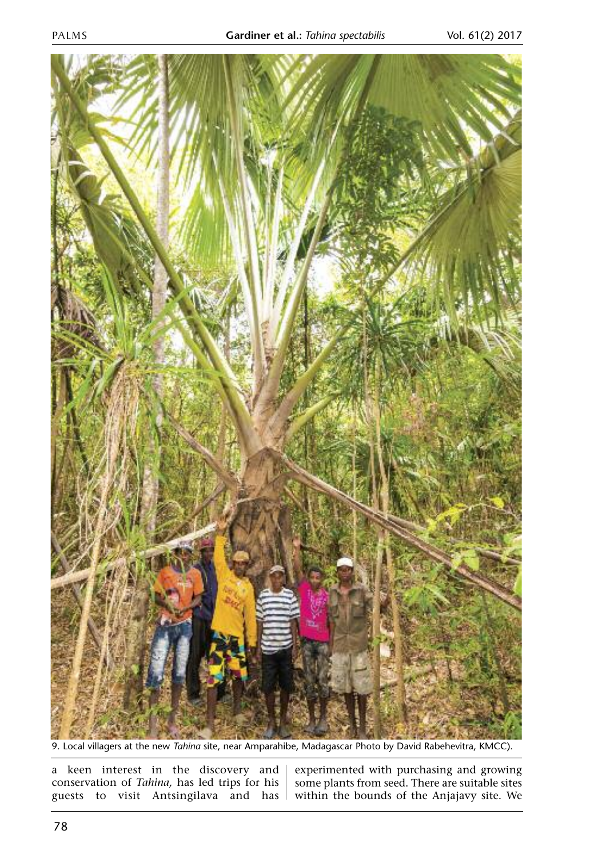

9. Local villagers at the new *Tahina* site, near Amparahibe, Madagascar Photo by David Rabehevitra, KMCC).

a keen interest in the discovery and  $|$  experimented with purchasing and growing conservation of *Tahina,* has led trips for his guests to visit Antsingilava and has

some plants from seed. There are suitable sites within the bounds of the Anjajavy site. We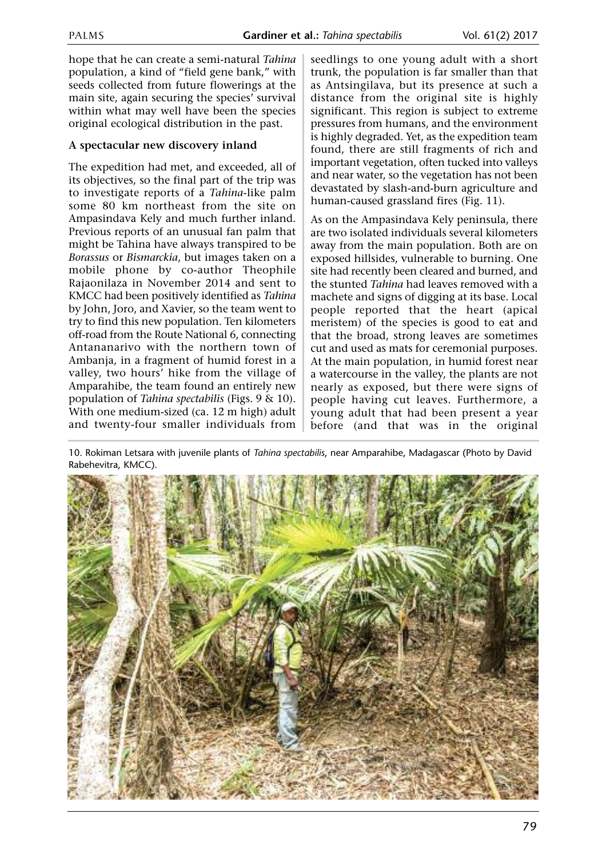hope that he can create a semi-natural *Tahina* population, a kind of "field gene bank," with seeds collected from future flowerings at the main site, again securing the species' survival within what may well have been the species original ecological distribution in the past.

### **A spectacular new discovery inland**

The expedition had met, and exceeded, all of its objectives, so the final part of the trip was to investigate reports of a *Tahina*-like palm some 80 km northeast from the site on Ampasindava Kely and much further inland. Previous reports of an unusual fan palm that might be Tahina have always transpired to be *Borassus* or *Bismarckia*, but images taken on a mobile phone by co-author Theophile Rajaonilaza in November 2014 and sent to KMCC had been positively identified as *Tahina* by John, Joro, and Xavier, so the team went to try to find this new population. Ten kilometers off-road from the Route National 6, connecting Antananarivo with the northern town of Ambanja, in a fragment of humid forest in a valley, two hours' hike from the village of Amparahibe, the team found an entirely new population of *Tahina spectabilis* (Figs. 9 & 10). With one medium-sized (ca. 12 m high) adult and twenty-four smaller individuals from seedlings to one young adult with a short trunk, the population is far smaller than that as Antsingilava, but its presence at such a distance from the original site is highly significant. This region is subject to extreme pressures from humans, and the environment is highly degraded. Yet, as the expedition team found, there are still fragments of rich and important vegetation, often tucked into valleys and near water, so the vegetation has not been devastated by slash-and-burn agriculture and human-caused grassland fires (Fig. 11).

As on the Ampasindava Kely peninsula, there are two isolated individuals several kilometers away from the main population. Both are on exposed hillsides, vulnerable to burning. One site had recently been cleared and burned, and the stunted *Tahina* had leaves removed with a machete and signs of digging at its base. Local people reported that the heart (apical meristem) of the species is good to eat and that the broad, strong leaves are sometimes cut and used as mats for ceremonial purposes. At the main population, in humid forest near a watercourse in the valley, the plants are not nearly as exposed, but there were signs of people having cut leaves. Furthermore, a young adult that had been present a year before (and that was in the original

10. Rokiman Letsara with juvenile plants of *Tahina spectabilis*, near Amparahibe, Madagascar (Photo by David Rabehevitra, KMCC).

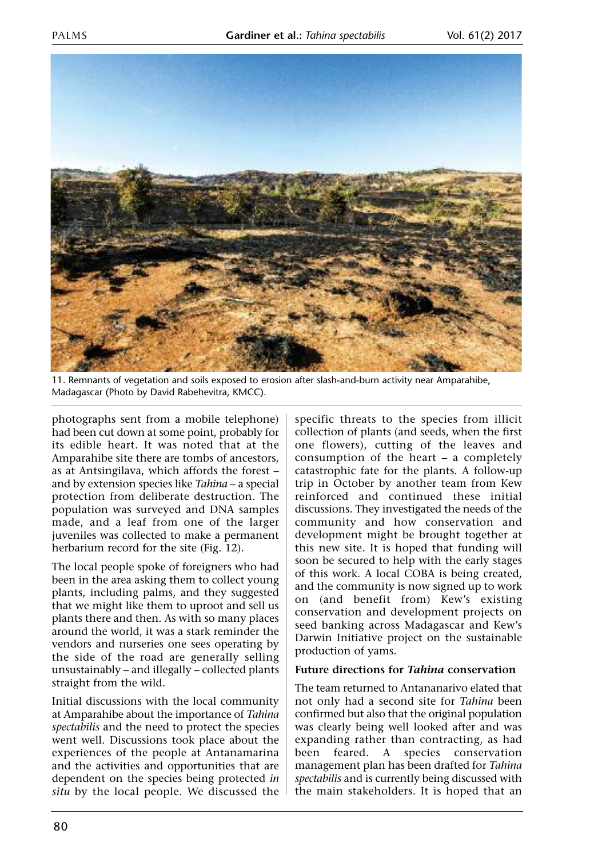

11. Remnants of vegetation and soils exposed to erosion after slash-and-burn activity near Amparahibe, Madagascar (Photo by David Rabehevitra, KMCC).

photographs sent from a mobile telephone) had been cut down at some point, probably for its edible heart. It was noted that at the Amparahibe site there are tombs of ancestors, as at Antsingilava, which affords the forest – and by extension species like *Tahina* – a special protection from deliberate destruction. The population was surveyed and DNA samples made, and a leaf from one of the larger juveniles was collected to make a permanent herbarium record for the site (Fig. 12).

The local people spoke of foreigners who had been in the area asking them to collect young plants, including palms, and they suggested that we might like them to uproot and sell us plants there and then. As with so many places around the world, it was a stark reminder the vendors and nurseries one sees operating by the side of the road are generally selling unsustainably – and illegally – collected plants straight from the wild.

Initial discussions with the local community at Amparahibe about the importance of *Tahina spectabilis* and the need to protect the species went well. Discussions took place about the experiences of the people at Antanamarina and the activities and opportunities that are dependent on the species being protected *in situ* by the local people. We discussed the specific threats to the species from illicit collection of plants (and seeds, when the first one flowers), cutting of the leaves and consumption of the heart – a completely catastrophic fate for the plants. A follow-up trip in October by another team from Kew reinforced and continued these initial discussions. They investigated the needs of the community and how conservation and development might be brought together at this new site. It is hoped that funding will soon be secured to help with the early stages of this work. A local COBA is being created, and the community is now signed up to work on (and benefit from) Kew's existing conservation and development projects on seed banking across Madagascar and Kew's Darwin Initiative project on the sustainable production of yams.

#### **Future directions for** *Tahina* **conservation**

The team returned to Antananarivo elated that not only had a second site for *Tahina* been confirmed but also that the original population was clearly being well looked after and was expanding rather than contracting, as had been feared. A species conservation management plan has been drafted for *Tahina spectabilis* and is currently being discussed with the main stakeholders. It is hoped that an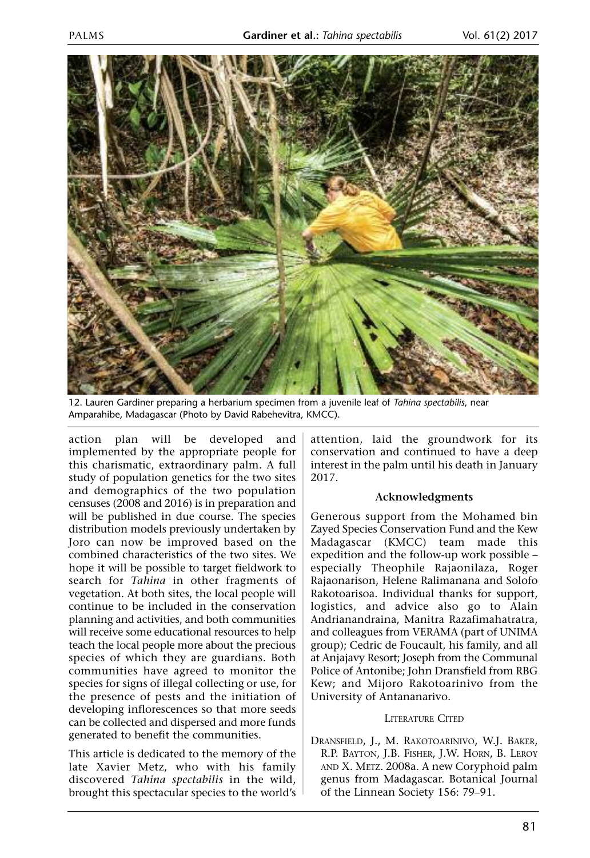

12. Lauren Gardiner preparing a herbarium specimen from a juvenile leaf of *Tahina spectabilis*, near Amparahibe, Madagascar (Photo by David Rabehevitra, KMCC).

action plan will be developed and implemented by the appropriate people for this charismatic, extraordinary palm. A full study of population genetics for the two sites and demographics of the two population censuses (2008 and 2016) is in preparation and will be published in due course. The species distribution models previously undertaken by Joro can now be improved based on the combined characteristics of the two sites. We hope it will be possible to target fieldwork to search for *Tahina* in other fragments of vegetation. At both sites, the local people will continue to be included in the conservation planning and activities, and both communities will receive some educational resources to help teach the local people more about the precious species of which they are guardians. Both communities have agreed to monitor the species for signs of illegal collecting or use, for the presence of pests and the initiation of developing inflorescences so that more seeds can be collected and dispersed and more funds generated to benefit the communities.

This article is dedicated to the memory of the late Xavier Metz, who with his family discovered *Tahina spectabilis* in the wild, brought this spectacular species to the world's attention, laid the groundwork for its conservation and continued to have a deep interest in the palm until his death in January 2017.

#### **Acknowledgments**

Generous support from the Mohamed bin Zayed Species Conservation Fund and the Kew Madagascar (KMCC) team made this expedition and the follow-up work possible – especially Theophile Rajaonilaza, Roger Rajaonarison, Helene Ralimanana and Solofo Rakotoarisoa. Individual thanks for support, logistics, and advice also go to Alain Andrianandraina, Manitra Razafimahatratra, and colleagues from VERAMA (part of UNIMA group); Cedric de Foucault, his family, and all at Anjajavy Resort; Joseph from the Communal Police of Antonibe; John Dransfield from RBG Kew; and Mijoro Rakotoarinivo from the University of Antananarivo.

#### LITERATURE CITED

DRANSFIELD, J., M. RAKOTOARINIVO, W.J. BAKER, R.P. BAYTON, J.B. FISHER, J.W. HORN, B. LEROY AND X. METZ. 2008a. A new Coryphoid palm genus from Madagascar. Botanical Journal of the Linnean Society 156: 79–91.